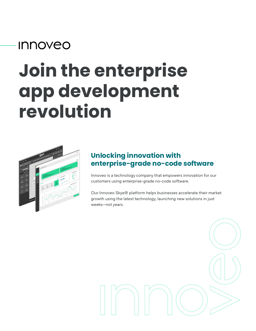## **Innoveo**

# **Join the enterprise app development revolution**



#### **Unlocking innovation with enterprise-grade no-code software**

Innoveo is a technology company that empowers innovation for our customers using enterprise-grade no-code software.

Our Innoveo Skye® platform helps businesses accelerate their market growth using the latest technology, launching new solutions in just weeks—not years.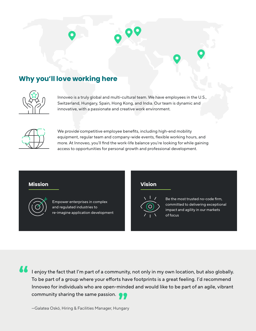### **Why you'll love working here**



Innoveo is a truly global and multi-cultural team. We have employees in the U.S., Switzerland, Hungary, Spain, Hong Kong, and India. Our team is dynamic and innovative, with a passionate and creative work environment.



We provide competitive employee benefits, including high-end mobility equipment, regular team and company-wide events, flexible working hours, and more. At Innoveo, you'll find the work-life balance you're looking for while gaining access to opportunities for personal growth and professional development.

#### **Mission Vision**



Empower enterprises in complex and regulated industries to re-imagine application development



Be the most trusted no-code firm, committed to delivering exceptional impact and agility in our markets of focus

**"**

Innoveo for individuals who are open-minded and would like to be part of an agile, vibrant<br>community sharing the same passion. I enjoy the fact that I'm part of a community, not only in my own location, but also globally. To be part of a group where your efforts have footprints is a great feeling. I'd recommend community sharing the same passion.

—Galatea Oskó, Hiring & Facilities Manager, Hungary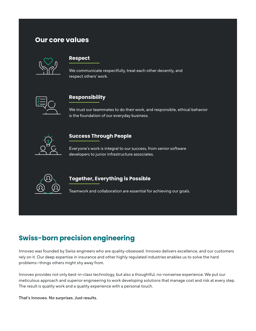#### **Our core values**



#### **Respect**

We communicate respectfully, treat each other decently, and respect others' work.



#### **Responsibility**

We trust our teammates to do their work, and responsible, ethical behavior is the foundation of our everyday business.



#### **Success Through People**

Everyone's work is integral to our success, from senior software developers to junior infrastructure associates.



#### **Together, Everything is Possible**

Teamwork and collaboration are essential for achieving our goals.

### **Swiss-born precision engineering**

Innoveo was founded by Swiss engineers who are quality-obsessed. Innoveo delivers excellence, and our customers rely on it. Our deep expertise in insurance and other highly regulated industries enables us to solve the hard problems—things others might shy away from.

Innoveo provides not only best-in-class technology, but also a thoughtful, no-nonsense experience. We put our meticulous approach and superior engineering to work developing solutions that manage cost and risk at every step. The result is quality work and a quality experience with a personal touch.

That's Innoveo. No surprises. Just results.